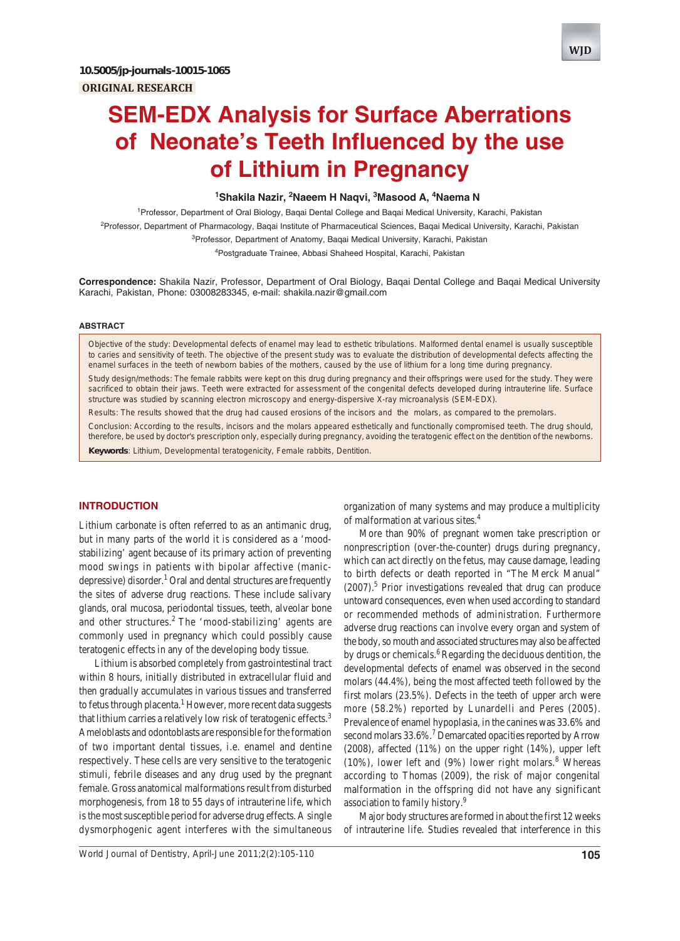# **SEM-EDX Analysis for Surface Aberrations of Neonate's Teeth Influenced by the use of Lithium in Pregnancy**

# <sup>1</sup>Shakila Nazir, <sup>2</sup>Naeem H Naqvi, <sup>3</sup>Masood A, <sup>4</sup>Naema N

1 Professor, Department of Oral Biology, Baqai Dental College and Baqai Medical University, Karachi, Pakistan <sup>2</sup>Professor, Department of Pharmacology, Baqai Institute of Pharmaceutical Sciences, Baqai Medical University, Karachi, Pakistan

<sup>3</sup>Professor, Department of Anatomy, Baqai Medical University, Karachi, Pakistan

4 Postgraduate Trainee, Abbasi Shaheed Hospital, Karachi, Pakistan

**Correspondence:** Shakila Nazir, Professor, Department of Oral Biology, Baqai Dental College and Baqai Medical University Karachi, Pakistan, Phone: 03008283345, e-mail: shakila.nazir@gmail.com

#### **ABSTRACT**

*Objective of the study*: Developmental defects of enamel may lead to esthetic tribulations. Malformed dental enamel is usually susceptible to caries and sensitivity of teeth. The objective of the present study was to evaluate the distribution of developmental defects affecting the enamel surfaces in the teeth of newborn babies of the mothers, caused by the use of lithium for a long time during pregnancy.

*Study design/methods*: The female rabbits were kept on this drug during pregnancy and their offsprings were used for the study. They were sacrificed to obtain their jaws. Teeth were extracted for assessment of the congenital defects developed during intrauterine life. Surface structure was studied by scanning electron microscopy and energy-dispersive X-ray microanalysis (SEM-EDX).

*Results*: The results showed that the drug had caused erosions of the incisors and the molars, as compared to the premolars.

*Conclusion*: According to the results, incisors and the molars appeared esthetically and functionally compromised teeth. The drug should, therefore, be used by doctor's prescription only, especially during pregnancy, avoiding the teratogenic effect on the dentition of the newborns.

**Keywords**: Lithium, Developmental teratogenicity, Female rabbits, Dentition.

# **INTRODUCTION**

Lithium carbonate is often referred to as an antimanic drug, but in many parts of the world it is considered as a 'moodstabilizing' agent because of its primary action of preventing mood swings in patients with bipolar affective (manicdepressive) disorder.<sup>1</sup> Oral and dental structures are frequently the sites of adverse drug reactions. These include salivary glands, oral mucosa, periodontal tissues, teeth, alveolar bone and other structures.<sup>2</sup> The 'mood-stabilizing' agents are commonly used in pregnancy which could possibly cause teratogenic effects in any of the developing body tissue.

Lithium is absorbed completely from gastrointestinal tract within 8 hours, initially distributed in extracellular fluid and then gradually accumulates in various tissues and transferred to fetus through placenta.<sup>1</sup> However, more recent data suggests that lithium carries a relatively low risk of teratogenic effects.<sup>3</sup> Ameloblasts and odontoblasts are responsible for the formation of two important dental tissues, i.e. enamel and dentine respectively. These cells are very sensitive to the teratogenic stimuli, febrile diseases and any drug used by the pregnant female. Gross anatomical malformations result from disturbed morphogenesis, from 18 to 55 days of intrauterine life, which is the most susceptible period for adverse drug effects. A single dysmorphogenic agent interferes with the simultaneous

organization of many systems and may produce a multiplicity of malformation at various sites.4

More than 90% of pregnant women take prescription or nonprescription (over-the-counter) drugs during pregnancy, which can act directly on the fetus, may cause damage, leading to birth defects or death reported in "The Merck Manual"  $(2007)$ .<sup>5</sup> Prior investigations revealed that drug can produce untoward consequences, even when used according to standard or recommended methods of administration. Furthermore adverse drug reactions can involve every organ and system of the body, so mouth and associated structures may also be affected by drugs or chemicals.<sup>6</sup> Regarding the deciduous dentition, the developmental defects of enamel was observed in the second molars (44.4%), being the most affected teeth followed by the first molars (23.5%). Defects in the teeth of upper arch were more (58.2%) reported by Lunardelli and Peres (2005). Prevalence of enamel hypoplasia, in the canines was 33.6% and second molars 33.6%.<sup>7</sup> Demarcated opacities reported by Arrow (2008), affected (11%) on the upper right (14%), upper left  $(10\%)$ , lower left and  $(9\%)$  lower right molars.<sup>8</sup> Whereas according to Thomas (2009), the risk of major congenital malformation in the offspring did not have any significant association to family history.9

Major body structures are formed in about the first 12 weeks of intrauterine life. Studies revealed that interference in this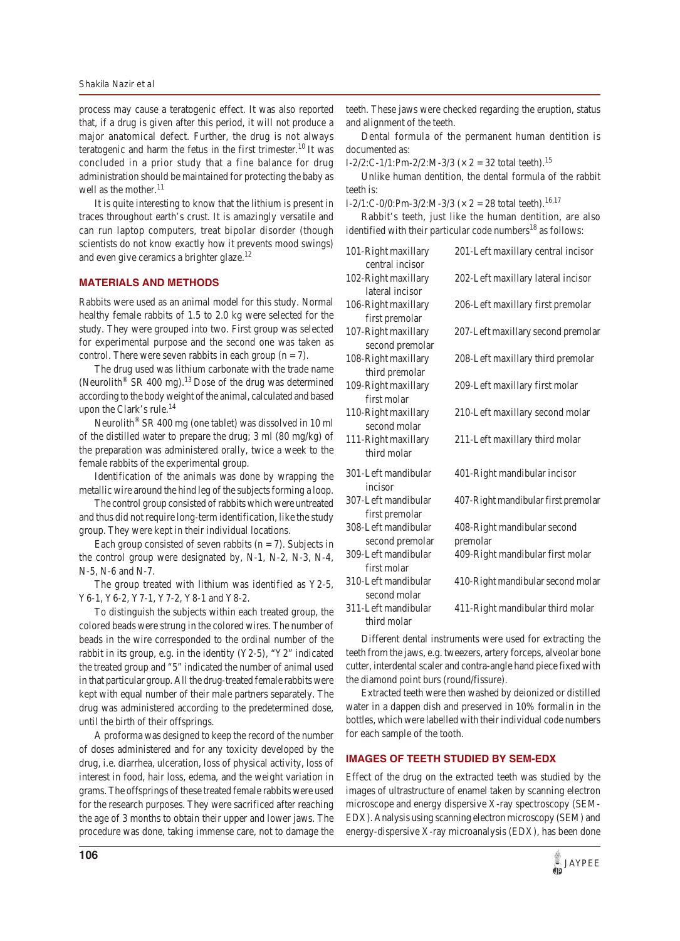process may cause a teratogenic effect. It was also reported that, if a drug is given after this period, it will not produce a major anatomical defect. Further, the drug is not always teratogenic and harm the fetus in the first trimester.<sup>10</sup> It was concluded in a prior study that a fine balance for drug administration should be maintained for protecting the baby as well as the mother.<sup>11</sup>

It is quite interesting to know that the lithium is present in traces throughout earth's crust. It is amazingly versatile and can run laptop computers, treat bipolar disorder (though scientists do not know exactly how it prevents mood swings) and even give ceramics a brighter glaze.<sup>12</sup>

## **MATERIALS AND METHODS**

Rabbits were used as an animal model for this study. Normal healthy female rabbits of 1.5 to 2.0 kg were selected for the study. They were grouped into two. First group was selected for experimental purpose and the second one was taken as control. There were seven rabbits in each group  $(n = 7)$ .

The drug used was lithium carbonate with the trade name (Neurolith<sup>®</sup> SR 400 mg).<sup>13</sup> Dose of the drug was determined according to the body weight of the animal, calculated and based upon the Clark's rule.<sup>14</sup>

Neurolith<sup>®</sup> SR 400 mg (one tablet) was dissolved in 10 ml of the distilled water to prepare the drug; 3 ml (80 mg/kg) of the preparation was administered orally, twice a week to the female rabbits of the experimental group.

Identification of the animals was done by wrapping the metallic wire around the hind leg of the subjects forming a loop.

The control group consisted of rabbits which were untreated and thus did not require long-term identification, like the study group. They were kept in their individual locations.

Each group consisted of seven rabbits ( $n = 7$ ). Subjects in the control group were designated by, N-1, N-2, N-3, N-4, N-5, N-6 and N-7.

The group treated with lithium was identified as Y2-5, Y6-1, Y6-2, Y7-1, Y7-2, Y8-1 and Y8-2.

To distinguish the subjects within each treated group, the colored beads were strung in the colored wires. The number of beads in the wire corresponded to the ordinal number of the rabbit in its group, e.g. in the identity (Y2-5), "Y2" indicated the treated group and "5" indicated the number of animal used in that particular group. All the drug-treated female rabbits were kept with equal number of their male partners separately. The drug was administered according to the predetermined dose, until the birth of their offsprings.

A proforma was designed to keep the record of the number of doses administered and for any toxicity developed by the drug, i.e. diarrhea, ulceration, loss of physical activity, loss of interest in food, hair loss, edema, and the weight variation in grams. The offsprings of these treated female rabbits were used for the research purposes. They were sacrificed after reaching the age of 3 months to obtain their upper and lower jaws. The procedure was done, taking immense care, not to damage the

teeth. These jaws were checked regarding the eruption, status and alignment of the teeth.

Dental formula of the permanent human dentition is documented as:

I-2/2:C-1/1:Pm-2/2:M-3/3 ( $\times$  2 = 32 total teeth).<sup>15</sup>

Unlike human dentition, the dental formula of the rabbit teeth is:

I-2/1:C-0/0:Pm-3/2:M-3/3 ( $\times$  2 = 28 total teeth).<sup>16,17</sup>

Rabbit's teeth, just like the human dentition, are also identified with their particular code numbers<sup>18</sup> as follows:

| 101-Right maxillary<br>central incisor | 201-Left maxillary central incisor      |
|----------------------------------------|-----------------------------------------|
| 102-Right maxillary<br>lateral incisor | 202-Left maxillary lateral incisor      |
| 106-Right maxillary<br>first premolar  | 206-Left maxillary first premolar       |
| 107-Right maxillary<br>second premolar | 207-Left maxillary second premolar      |
| 108-Right maxillary<br>third premolar  | 208-Left maxillary third premolar       |
| 109-Right maxillary<br>first molar     | 209-Left maxillary first molar          |
| 110-Right maxillary<br>second molar    | 210-Left maxillary second molar         |
| 111-Right maxillary<br>third molar     | 211-Left maxillary third molar          |
| 301-Left mandibular<br>incisor         | 401-Right mandibular incisor            |
| 307-Left mandibular<br>first premolar  | 407-Right mandibular first premolar     |
| 308-Left mandibular<br>second premolar | 408-Right mandibular second<br>premolar |
| 309-Left mandibular<br>first molar     | 409-Right mandibular first molar        |
| 310-Left mandibular<br>second molar    | 410-Right mandibular second molar       |
| 311-Left mandibular<br>third molar     | 411-Right mandibular third molar        |
|                                        |                                         |

Different dental instruments were used for extracting the teeth from the jaws, e.g. tweezers, artery forceps, alveolar bone cutter, interdental scaler and contra-angle hand piece fixed with the diamond point burs (round/fissure).

Extracted teeth were then washed by deionized or distilled water in a dappen dish and preserved in 10% formalin in the bottles, which were labelled with their individual code numbers for each sample of the tooth.

# **IMAGES OF TEETH STUDIED BY SEM-EDX**

Effect of the drug on the extracted teeth was studied by the images of ultrastructure of enamel taken by scanning electron microscope and energy dispersive X-ray spectroscopy (SEM-EDX). Analysis using scanning electron microscopy (SEM) and energy-dispersive X-ray microanalysis (EDX), has been done

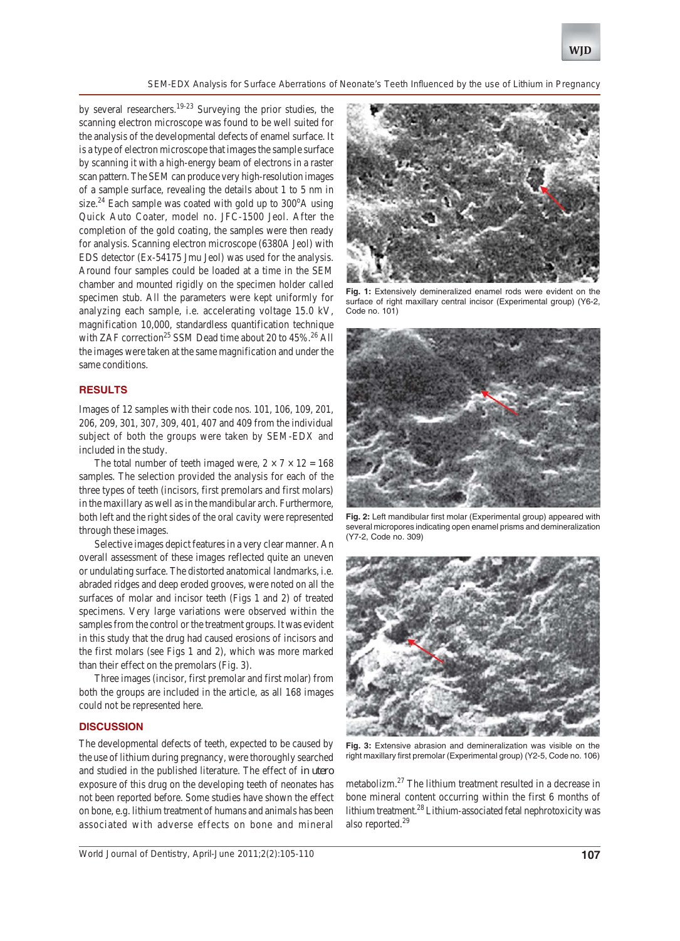

*SEM-EDX Analysis for Surface Aberrations of Neonate's Teeth Influenced by the use of Lithium in Pregnancy*

by several researchers.<sup>19-23</sup> Surveying the prior studies, the scanning electron microscope was found to be well suited for the analysis of the developmental defects of enamel surface. It is a type of electron microscope that images the sample surface by scanning it with a high-energy beam of electrons in a raster scan pattern. The SEM can produce very high-resolution images of a sample surface, revealing the details about 1 to 5 nm in size.<sup>24</sup> Each sample was coated with gold up to  $300^{\circ}$ A using Quick Auto Coater, model no. JFC-1500 Jeol. After the completion of the gold coating, the samples were then ready for analysis. Scanning electron microscope (6380A Jeol) with EDS detector (Ex-54175 Jmu Jeol) was used for the analysis. Around four samples could be loaded at a time in the SEM chamber and mounted rigidly on the specimen holder called specimen stub. All the parameters were kept uniformly for analyzing each sample, i.e. accelerating voltage 15.0 kV, magnification 10,000, standardless quantification technique with ZAF correction<sup>25</sup> SSM Dead time about 20 to  $45\%$ .<sup>26</sup> All the images were taken at the same magnification and under the same conditions.

# **RESULTS**

Images of 12 samples with their code nos. 101, 106, 109, 201, 206, 209, 301, 307, 309, 401, 407 and 409 from the individual subject of both the groups were taken by SEM-EDX and included in the study.

The total number of teeth imaged were,  $2 \times 7 \times 12 = 168$ samples. The selection provided the analysis for each of the three types of teeth (incisors, first premolars and first molars) in the maxillary as well as in the mandibular arch. Furthermore, both left and the right sides of the oral cavity were represented through these images.

Selective images depict features in a very clear manner. An overall assessment of these images reflected quite an uneven or undulating surface. The distorted anatomical landmarks, i.e. abraded ridges and deep eroded grooves, were noted on all the surfaces of molar and incisor teeth (Figs 1 and 2) of treated specimens. Very large variations were observed within the samples from the control or the treatment groups. It was evident in this study that the drug had caused erosions of incisors and the first molars (see Figs 1 and 2), which was more marked than their effect on the premolars (Fig. 3).

Three images (incisor, first premolar and first molar) from both the groups are included in the article, as all 168 images could not be represented here.

#### **DISCUSSION**

The developmental defects of teeth, expected to be caused by the use of lithium during pregnancy, were thoroughly searched and studied in the published literature. The effect of *in utero* exposure of this drug on the developing teeth of neonates has not been reported before. Some studies have shown the effect on bone, e.g. lithium treatment of humans and animals has been associated with adverse effects on bone and mineral



**Fig. 1:** Extensively demineralized enamel rods were evident on the surface of right maxillary central incisor (Experimental group) (Y6-2, Code no. 101)



**Fig. 2:** Left mandibular first molar (Experimental group) appeared with several micropores indicating open enamel prisms and demineralization (Y7-2, Code no. 309)



**Fig. 3:** Extensive abrasion and demineralization was visible on the right maxillary first premolar (Experimental group) (Y2-5, Code no. 106)

metabolizm.<sup>27</sup> The lithium treatment resulted in a decrease in bone mineral content occurring within the first 6 months of lithium treatment.<sup>28</sup> Lithium-associated fetal nephrotoxicity was also reported.29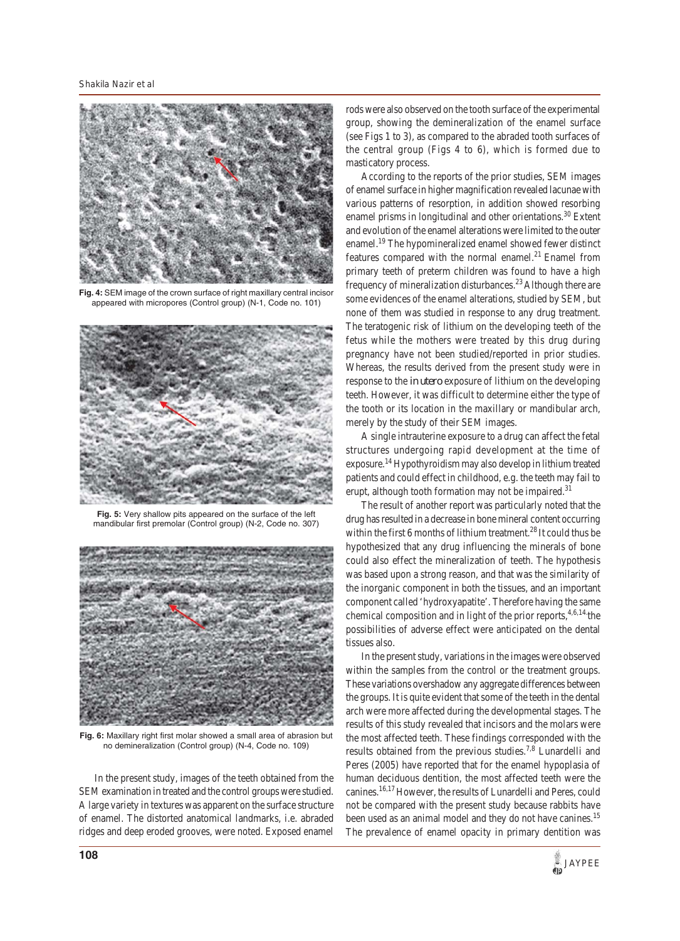

**Fig. 4:** SEM image of the crown surface of right maxillary central incisor appeared with micropores (Control group) (N-1, Code no. 101)



**Fig. 5:** Very shallow pits appeared on the surface of the left mandibular first premolar (Control group) (N-2, Code no. 307)



**Fig. 6:** Maxillary right first molar showed a small area of abrasion but no demineralization (Control group) (N-4, Code no. 109)

In the present study, images of the teeth obtained from the SEM examination in treated and the control groups were studied. A large variety in textures was apparent on the surface structure of enamel. The distorted anatomical landmarks, i.e. abraded ridges and deep eroded grooves, were noted. Exposed enamel rods were also observed on the tooth surface of the experimental group, showing the demineralization of the enamel surface (see Figs 1 to 3), as compared to the abraded tooth surfaces of the central group (Figs 4 to 6), which is formed due to masticatory process.

According to the reports of the prior studies, SEM images of enamel surface in higher magnification revealed lacunae with various patterns of resorption, in addition showed resorbing enamel prisms in longitudinal and other orientations.<sup>30</sup> Extent and evolution of the enamel alterations were limited to the outer enamel.<sup>19</sup> The hypomineralized enamel showed fewer distinct features compared with the normal enamel. $^{21}$  Enamel from primary teeth of preterm children was found to have a high frequency of mineralization disturbances.<sup>23</sup> Although there are some evidences of the enamel alterations, studied by SEM, but none of them was studied in response to any drug treatment. The teratogenic risk of lithium on the developing teeth of the fetus while the mothers were treated by this drug during pregnancy have not been studied/reported in prior studies. Whereas, the results derived from the present study were in response to the *in utero* exposure of lithium on the developing teeth. However, it was difficult to determine either the type of the tooth or its location in the maxillary or mandibular arch, merely by the study of their SEM images.

A single intrauterine exposure to a drug can affect the fetal structures undergoing rapid development at the time of exposure.14 Hypothyroidism may also develop in lithium treated patients and could effect in childhood, e.g. the teeth may fail to erupt, although tooth formation may not be impaired.<sup>31</sup>

The result of another report was particularly noted that the drug has resulted in a decrease in bone mineral content occurring within the first 6 months of lithium treatment.<sup>28</sup> It could thus be hypothesized that any drug influencing the minerals of bone could also effect the mineralization of teeth. The hypothesis was based upon a strong reason, and that was the similarity of the inorganic component in both the tissues, and an important component called 'hydroxyapatite'. Therefore having the same chemical composition and in light of the prior reports,  $4,6,14$  the possibilities of adverse effect were anticipated on the dental tissues also.

In the present study, variations in the images were observed within the samples from the control or the treatment groups. These variations overshadow any aggregate differences between the groups. It is quite evident that some of the teeth in the dental arch were more affected during the developmental stages. The results of this study revealed that incisors and the molars were the most affected teeth. These findings corresponded with the results obtained from the previous studies.7,8 Lunardelli and Peres (2005) have reported that for the enamel hypoplasia of human deciduous dentition, the most affected teeth were the canines.16,17 However, the results of Lunardelli and Peres, could not be compared with the present study because rabbits have been used as an animal model and they do not have canines.<sup>15</sup> The prevalence of enamel opacity in primary dentition was

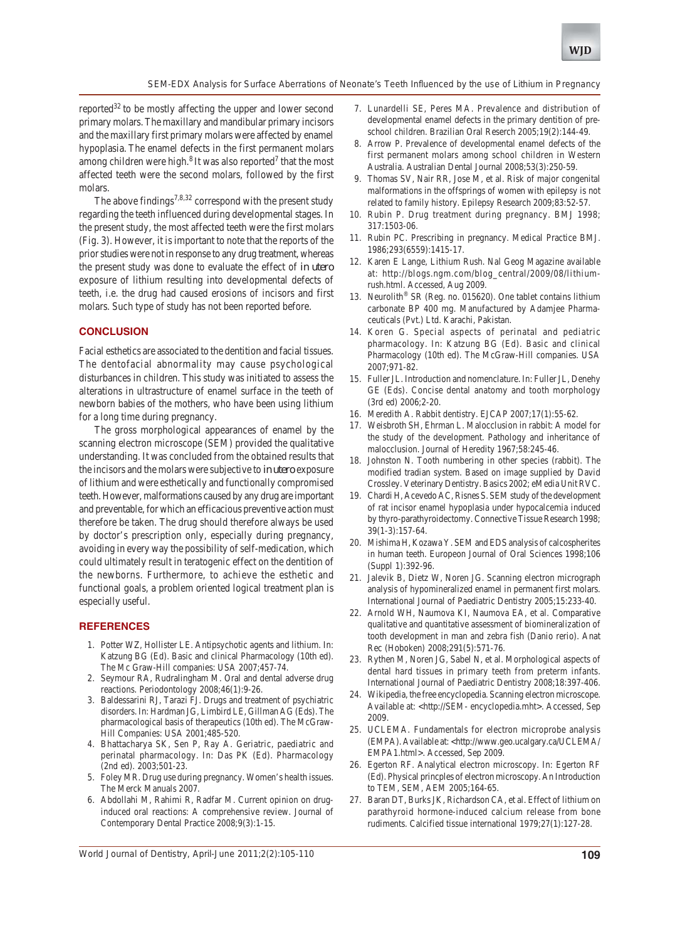

#### *SEM-EDX Analysis for Surface Aberrations of Neonate's Teeth Influenced by the use of Lithium in Pregnancy*

reported<sup>32</sup> to be mostly affecting the upper and lower second primary molars. The maxillary and mandibular primary incisors and the maxillary first primary molars were affected by enamel hypoplasia. The enamel defects in the first permanent molars among children were high. $8$  It was also reported<sup>7</sup> that the most affected teeth were the second molars, followed by the first molars.

The above findings<sup>7,8,32</sup> correspond with the present study regarding the teeth influenced during developmental stages. In the present study, the most affected teeth were the first molars (Fig. 3). However, it is important to note that the reports of the prior studies were not in response to any drug treatment, whereas the present study was done to evaluate the effect of *in utero* exposure of lithium resulting into developmental defects of teeth, i.e. the drug had caused erosions of incisors and first molars. Such type of study has not been reported before.

#### **CONCLUSION**

Facial esthetics are associated to the dentition and facial tissues. The dentofacial abnormality may cause psychological disturbances in children. This study was initiated to assess the alterations in ultrastructure of enamel surface in the teeth of newborn babies of the mothers, who have been using lithium for a long time during pregnancy.

The gross morphological appearances of enamel by the scanning electron microscope (SEM) provided the qualitative understanding. It was concluded from the obtained results that the incisors and the molars were subjective to *in utero* exposure of lithium and were esthetically and functionally compromised teeth. However, malformations caused by any drug are important and preventable, for which an efficacious preventive action must therefore be taken. The drug should therefore always be used by doctor's prescription only, especially during pregnancy, avoiding in every way the possibility of self-medication, which could ultimately result in teratogenic effect on the dentition of the newborns. Furthermore, to achieve the esthetic and functional goals, a problem oriented logical treatment plan is especially useful.

### **REFERENCES**

- 1. Potter WZ, Hollister LE. Antipsychotic agents and lithium. In: Katzung BG (Ed). Basic and clinical Pharmacology (10th ed). The Mc Graw-Hill companies: USA 2007;457-74.
- 2. Seymour RA, Rudralingham M. Oral and dental adverse drug reactions. Periodontology 2008;46(1):9-26.
- 3. Baldessarini RJ, Tarazi FJ. Drugs and treatment of psychiatric disorders. In: Hardman JG, Limbird LE, Gillman AG (Eds). The pharmacological basis of therapeutics (10th ed). The McGraw-Hill Companies: USA 2001;485-520.
- 4. Bhattacharya SK, Sen P, Ray A. Geriatric, paediatric and perinatal pharmacology. In: Das PK (Ed). Pharmacology (2nd ed). 2003;501-23.
- 5. Foley MR. Drug use during pregnancy. Women's health issues. The Merck Manuals 2007.
- 6. Abdollahi M, Rahimi R, Radfar M. Current opinion on druginduced oral reactions: A comprehensive review. Journal of Contemporary Dental Practice 2008;9(3):1-15.
- 7. Lunardelli SE, Peres MA. Prevalence and distribution of developmental enamel defects in the primary dentition of preschool children. Brazilian Oral Reserch 2005;19(2):144-49.
- 8. Arrow P. Prevalence of developmental enamel defects of the first permanent molars among school children in Western Australia. Australian Dental Journal 2008;53(3):250-59.
- 9. Thomas SV, Nair RR, Jose M, et al. Risk of major congenital malformations in the offsprings of women with epilepsy is not related to family history. Epilepsy Research 2009;83:52-57.
- 10. Rubin P. Drug treatment during pregnancy. BMJ 1998; 317:1503-06.
- 11. Rubin PC. Prescribing in pregnancy. Medical Practice BMJ. 1986;293(6559):1415-17.
- 12. Karen E Lange, Lithium Rush. Nal Geog Magazine available at: http://blogs.ngm.com/blog\_central/2009/08/lithiumrush.html. Accessed, Aug 2009.
- 13. Neurolith® SR (Reg. no. 015620). One tablet contains lithium carbonate BP 400 mg. Manufactured by Adamjee Pharmaceuticals (Pvt.) Ltd. Karachi, Pakistan.
- 14. Koren G. Special aspects of perinatal and pediatric pharmacology. In: Katzung BG (Ed). Basic and clinical Pharmacology (10th ed). The McGraw-Hill companies. USA 2007;971-82.
- 15. Fuller JL. Introduction and nomenclature. In: Fuller JL, Denehy GE (Eds). Concise dental anatomy and tooth morphology (3rd ed) 2006;2-20.
- 16. Meredith A. Rabbit dentistry. EJCAP 2007;17(1):55-62.
- 17. Weisbroth SH, Ehrman L. Malocclusion in rabbit: A model for the study of the development. Pathology and inheritance of malocclusion. Journal of Heredity 1967;58:245-46.
- 18. Johnston N. Tooth numbering in other species (rabbit). The modified tradian system. Based on image supplied by David Crossley. Veterinary Dentistry. Basics 2002; eMedia Unit RVC.
- 19. Chardi H, Acevedo AC, Risnes S. SEM study of the development of rat incisor enamel hypoplasia under hypocalcemia induced by thyro-parathyroidectomy. Connective Tissue Research 1998; 39(1-3):157-64.
- 20. Mishima H, Kozawa Y. SEM and EDS analysis of calcospherites in human teeth. Europeon Journal of Oral Sciences 1998;106 (Suppl 1):392-96.
- 21. Jalevik B, Dietz W, Noren JG. Scanning electron micrograph analysis of hypomineralized enamel in permanent first molars. International Journal of Paediatric Dentistry 2005;15:233-40.
- 22. Arnold WH, Naumova KI, Naumova EA, et al. Comparative qualitative and quantitative assessment of biomineralization of tooth development in man and zebra fish (Danio rerio). Anat Rec (Hoboken) 2008;291(5):571-76.
- 23. Rythen M, Noren JG, Sabel N, et al. Morphological aspects of dental hard tissues in primary teeth from preterm infants. International Journal of Paediatric Dentistry 2008;18:397-406.
- 24. Wikipedia, the free encyclopedia. Scanning electron microscope. Available at: <http://SEM- encyclopedia.mht>. Accessed, Sep 2009.
- 25. UCLEMA. Fundamentals for electron microprobe analysis (EMPA). Available at: <http://www.geo.ucalgary.ca/UCLEMA/ EMPA1.html>. Accessed, Sep 2009.
- 26. Egerton RF. Analytical electron microscopy. In: Egerton RF (Ed). Physical princples of electron microscopy. An Introduction to TEM, SEM, AEM 2005;164-65.
- 27. Baran DT, Burks JK, Richardson CA, et al. Effect of lithium on parathyroid hormone-induced calcium release from bone rudiments. Calcified tissue international 1979;27(1):127-28.

*World Journal of Dentistry, April-June 2011;2(2):105-110* **109**